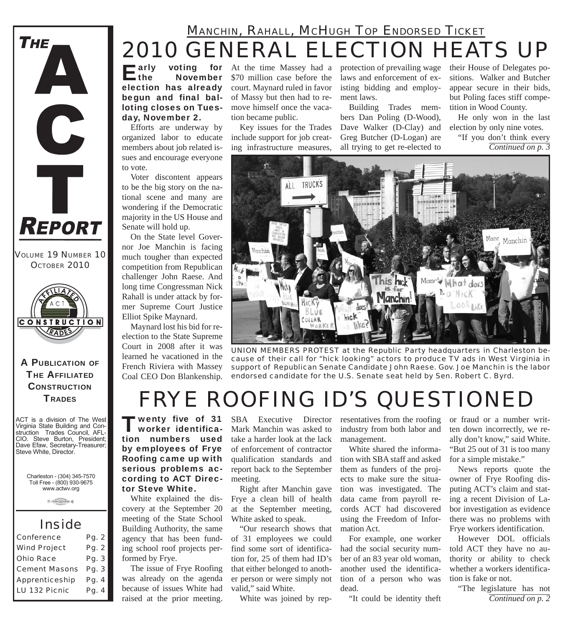

 $E^{\text{arly}}$ **November** election has already begun and final balloting closes on Tuesday, November 2.

Efforts are underway by organized labor to educate members about job related issues and encourage everyone to vote.

Voter discontent appears to be the big story on the national scene and many are wondering if the Democratic majority in the US House and Senate will hold up.

On the State level Governor Joe Manchin is facing much tougher than expected competition from Republican challenger John Raese. And long time Congressman Nick Rahall is under attack by former Supreme Court Justice Elliot Spike Maynard.

Maynard lost his bid for reelection to the State Supreme Court in 2008 after it was learned he vacationed in the French Riviera with Massey Coal CEO Don Blankenship.

**voting** for At the time Massey had a \$70 million case before the court. Maynard ruled in favor of Massy but then had to remove himself once the vacation became public.

> Key issues for the Trades include support for job creating infrastructure measures,

protection of prevailing wage laws and enforcement of existing bidding and employment laws.

Building Trades members Dan Poling (D-Wood), Dave Walker (D-Clay) and Greg Butcher (D-Logan) are all trying to get re-elected to

their House of Delegates positions. Walker and Butcher appear secure in their bids, but Poling faces stiff competition in Wood County.

He only won in the last election by only nine votes. "If you don't think every

*Continued on p. 3*



*UNION MEMBERS PROTEST at the Republic Party headquarters in Charleston because of their call for "hick looking" actors to produce TV ads in West Virginia in support of Republican Senate Candidate John Raese. Gov. Joe Manchin is the labor endorsed candidate for the U.S. Senate seat held by Sen. Robert C. Byrd.*

# *FRYE ROOFING ID'S QUESTIONED*

'wenty five of 31 worker identification numbers used by employees of Frye Roofing came up with serious problems according to ACT Director Steve White.

White explained the discovery at the September 20 meeting of the State School Building Authority, the same agency that has been funding school roof projects performed by Frye.

The issue of Frye Roofing was already on the agenda because of issues White had raised at the prior meeting.

Mark Manchin was asked to take a harder look at the lack of enforcement of contractor qualification standards and report back to the September meeting.

Right after Manchin gave Frye a clean bill of health at the September meeting, White asked to speak.

"Our research shows that of 31 employees we could find some sort of identification for, 25 of them had ID's that either belonged to another person or were simply not valid," said White.

White was joined by rep-

SBA Executive Director resentatives from the roofing industry from both labor and management.

> White shared the information with SBA staff and asked them as funders of the projects to make sure the situation was investigated. The data came from payroll records ACT had discovered using the Freedom of Information Act.

For example, one worker had the social security number of an 83 year old woman, another used the identification of a person who was dead.

"It could be identity theft

or fraud or a number written down incorrectly, we really don't know," said White. "But 25 out of 31 is too many for a simple mistake."

News reports quote the owner of Frye Roofing disputing ACT's claim and stating a recent Division of Labor investigation as evidence there was no problems with Frye workers identification.

However DOL officials told ACT they have no authority or ability to check whether a workers identification is fake or not.

"The legislature has not *Continued on p. 2*

**THE AFFILIATED CONSTRUCTION TRADES** 

A PUBLICATION OF

**CONSTRUCTION** RADES

ACT is a division of The West Virginia State Building and Construction Trades Council, AFL-CIO. Steve Burton, President; Dave Efaw, Secretary-Treasurer; Steve White, Director.

> Charleston - (304) 345-7570 Toll Free - (800) 930-9675 www.actwv.org

> > $A$  (TRADES (Will COUNCIL)  $6$

## *Inside*

| Conference           | Pg. 2 |
|----------------------|-------|
| <b>Wind Project</b>  | Pg. 2 |
| <b>Ohio Race</b>     | Pg. 3 |
| <b>Cement Masons</b> | Pg. 3 |
| Apprenticeship       | Pg. 4 |
| LU 132 Picnic        | Pg. 4 |



**THE**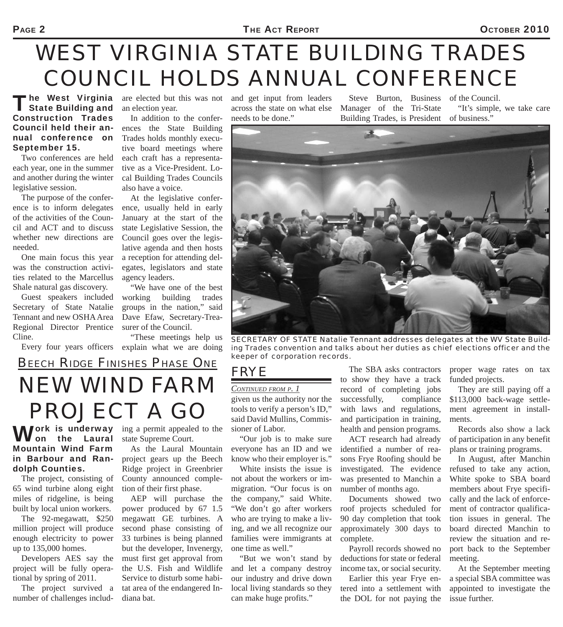#### PAGE 2 **Page 2010** THE ACT REPORT **CLOSE 2010**

# *WEST VIRGINIA STATE BUILDING TRADES COUNCIL HOLDS ANNUAL CONFERENCE*

**The West Virginia** State Building and Construction Trades Council held their annual conference on September 15.

Two conferences are held each year, one in the summer and another during the winter legislative session.

The purpose of the conference is to inform delegates of the activities of the Council and ACT and to discuss whether new directions are needed.

One main focus this year was the construction activities related to the Marcellus Shale natural gas discovery.

Guest speakers included Secretary of State Natalie Tennant and new OSHA Area Regional Director Prentice Cline.

are elected but this was not an election year.

In addition to the conferences the State Building Trades holds monthly executive board meetings where each craft has a representative as a Vice-President. Local Building Trades Councils also have a voice.

At the legislative conference, usually held in early January at the start of the state Legislative Session, the Council goes over the legislative agenda and then hosts a reception for attending delegates, legislators and state agency leaders.

"We have one of the best working building trades groups in the nation," said Dave Efaw, Secretary-Treasurer of the Council.

Every four years officers explain what we are doing "These meetings help us

and get input from leaders across the state on what else needs to be done."

Steve Burton, Business Manager of the Tri-State Building Trades, is President

of the Council. "It's simple, we take care of business."



*SECRETARY OF STATE Natalie Tennant addresses delegates at the WV State Building Trades convention and talks about her duties as chief elections officer and the keeper of corporation records.*

# *NEW WIND FARM PROJECT A GO BEECH RIDGE FINISHES PHASE ONE*

Work is underway<br>
Mon the Laural Mountain Wind Farm in Barbour and Randolph Counties.

The project, consisting of 65 wind turbine along eight miles of ridgeline, is being built by local union workers.

The 92-megawatt, \$250 million project will produce enough electricity to power up to 135,000 homes.

Developers AES say the project will be fully operational by spring of 2011.

The project survived a number of challenges including a permit appealed to the state Supreme Court.

As the Laural Mountain project gears up the Beech Ridge project in Greenbrier County announced completion of their first phase.

AEP will purchase the power produced by 67 1.5 megawatt GE turbines. A second phase consisting of 33 turbines is being planned but the developer, Invenergy, must first get approval from the U.S. Fish and Wildlife Service to disturb some habitat area of the endangered Indiana bat.

*FRYE* 

## *CONTINUED FROM P. 1*

given us the authority nor the tools to verify a person's ID," said David Mullins, Commissioner of Labor.

"Our job is to make sure everyone has an ID and we know who their employer is."

White insists the issue is not about the workers or immigration. "Our focus is on the company," said White. "We don't go after workers who are trying to make a living, and we all recognize our families were immigrants at one time as well."

"But we won't stand by and let a company destroy our industry and drive down local living standards so they can make huge profits."

The SBA asks contractors to show they have a track record of completing jobs successfully, compliance with laws and regulations, and participation in training, health and pension programs.

ACT research had already identified a number of reasons Frye Roofing should be investigated. The evidence was presented to Manchin a number of months ago.

Documents showed two roof projects scheduled for 90 day completion that took approximately 300 days to complete.

Payroll records showed no deductions for state or federal income tax, or social security.

Earlier this year Frye entered into a settlement with the DOL for not paying the

proper wage rates on tax funded projects.

They are still paying off a \$113,000 back-wage settlement agreement in installments.

Records also show a lack of participation in any benefit plans or training programs.

In August, after Manchin refused to take any action, White spoke to SBA board members about Frye specifically and the lack of enforcement of contractor qualification issues in general. The board directed Manchin to review the situation and report back to the September meeting.

At the September meeting a special SBA committee was appointed to investigate the issue further.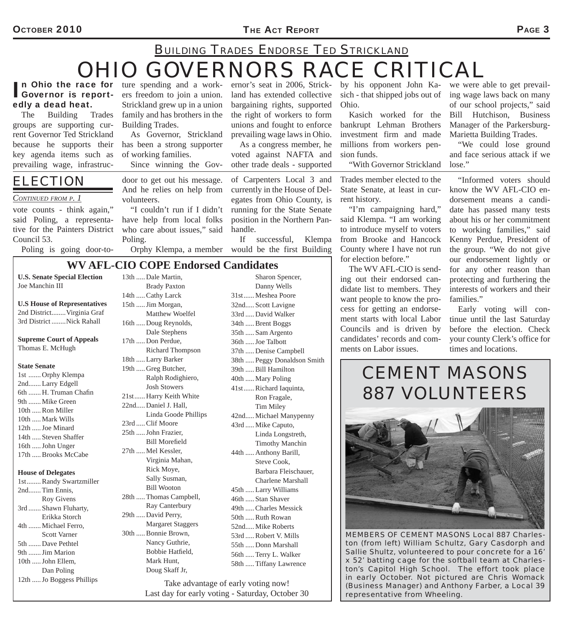#### OCTOBER 2010 **PAGE 3**

# *OHIO GOVERNORS RACE CRITICAL BUILDING TRADES ENDORSE TED STRICKLAND*

## In Ohio the race for ture spending and a work-<br>
Governor is report-<br>
ers freedom to join a union. edly a dead heat.

The Building Trades groups are supporting current Governor Ted Strickland because he supports their key agenda items such as prevailing wage, infrastruc-

## *ELECTION*

#### *CONTINUED FROM P. 1*

Joe Manchin III

Thomas E. McHugh

1st ....... Orphy Klempa 2nd....... Larry Edgell 6th ....... H. Truman Chafin 9th ....... Mike Green 10th ..... Ron Miller 10th ..... Mark Wills 12th ..... Joe Minard 14th ..... Steven Shaffer 16th ..... John Unger 17th ..... Brooks McCabe

**House of Delegates**

2nd....... Tim Ennis,

5th ....... Dave Pethtel 9th ....... Jim Marion 10th ..... John Ellem,

Dan Poling

 Roy Givens 3rd ....... Shawn Fluharty, Erikka Storch 4th ....... Michael Ferro, Scott Varner

**State Senate**

vote counts - think again," said Poling, a representative for the Painters District Council 53.

Poling is going door-to-

**n Ohio the race for** ture spending and a work-Strickland grew up in a union family and has brothers in the Building Trades.

> As Governor, Strickland has been a strong supporter of working families.

Since winning the Gov-

door to get out his message. And he relies on help from volunteers.

"I couldn't run if I didn't have help from local folks who care about issues," said Poling.

Orphy Klempa, a member

**WV AFL-CIO COPE Endorsed Candidates**

13th ..... Dale Martin,

ernor's seat in 2006, Strickland has extended collective bargaining rights, supported the right of workers to form unions and fought to enforce prevailing wage laws in Ohio. As a congress member, he

voted against NAFTA and other trade deals - supported

of Carpenters Local 3 and currently in the House of Delegates from Ohio County, is running for the State Senate position in the Northern Panhandle.

If successful, Klempa would be the first Building by his opponent John Ka-Ohio.

Kasich worked for the bankrupt Lehman Brothers investment firm and made millions from workers pension funds.

"With Governor Strickland

Trades member elected to the State Senate, at least in current history.

"I'm campaigning hard," said Klempa. "I am working to introduce myself to voters from Brooke and Hancock County where I have not run for election before."

The WV AFL-CIO is sending out their endorsed candidate list to members. They want people to know the process for getting an endorsement starts with local Labor Councils and is driven by candidates' records and comments on Labor issues.

sich - that shipped jobs out of ing wage laws back on many we were able to get prevailof our school projects," said Bill Hutchison, Business Manager of the Parkersburg-Marietta Building Trades.

"We could lose ground and face serious attack if we lose."

"Informed voters should know the WV AFL-CIO endorsement means a candidate has passed many tests about his or her commitment to working families," said Kenny Perdue, President of the group. "We do not give our endorsement lightly or for any other reason than protecting and furthering the interests of workers and their families."

Early voting will continue until the last Saturday before the election. Check your county Clerk's office for times and locations.

## *CEMENT MASONS 887 VOLUNTEERS*



*MEMBERS OF CEMENT MASONS Local 887 Charleston (from left) William Schultz, Gary Casdorph and Sallie Shultz, volunteered to pour concrete for a 16' x 52' batting cage for the softball team at Charleston's Capitol High School. The effort took place in early October. Not pictured are Chris Womack (Business Manager) and Anthony Farber, a Local 39 representative from Wheeling.*

### **U.S. Senate Special Election U.S House of Representatives** 2nd District........ Virginia Graf 3rd District ........Nick Rahall **Supreme Court of Appeals** 1st ........ Randy Swartzmiller 12th ..... Jo Boggess Phillips Brady Paxton 14th ..... Cathy Larck 15th ..... Jim Morgan, Dale Stephens 17th ..... Don Perdue, 18th ..... Larry Barker 19th ..... Greg Butcher, Josh Stowers 22nd..... Daniel J. Hall, 23rd ..... Clif Moore 25th ..... John Frazier, Bill Morefield 27th ..... Mel Kessler, Rick Moye, Sally Susman, Bill Wooton 29th ..... David Perry, 30th ..... Bonnie Brown, Mark Hunt, Doug Skaff Jr,

 Matthew Woelfel 16th ..... Doug Reynolds, Richard Thompson Ralph Rodighiero, 21st ...... Harry Keith White Linda Goode Phillips Virginia Mahan, 28th ..... Thomas Campbell, Ray Canterbury Margaret Staggers Nancy Guthrie, Bobbie Hatfield.

 Sharon Spencer, Danny Wells 31st ...... Meshea Poore 32nd..... Scott Lavigne 33rd ..... David Walker 34th ..... Brent Boggs 35th ..... Sam Argento 36th ..... Joe Talbott 37th ..... Denise Campbell 38th ..... Peggy Donaldson Smith 39th ..... Bill Hamilton 40th ..... Mary Poling 41st ...... Richard Iaquinta, Ron Fragale, Tim Miley 42nd..... Michael Manypenny 43rd ..... Mike Caputo, Linda Longstreth, Timothy Manchin 44th ..... Anthony Barill, Steve Cook, Barbara Fleischauer, Charlene Marshall 45th ..... Larry Williams 46th ..... Stan Shaver 49th ..... Charles Messick 50th ..... Ruth Rowan 52nd..... Mike Roberts 53rd ..... Robert V. Mills 55th ..... Donn Marshall 56th ..... Terry L. Walker 58th ..... Tiffany Lawrence

Take advantage of early voting now! Last day for early voting - Saturday, October 30